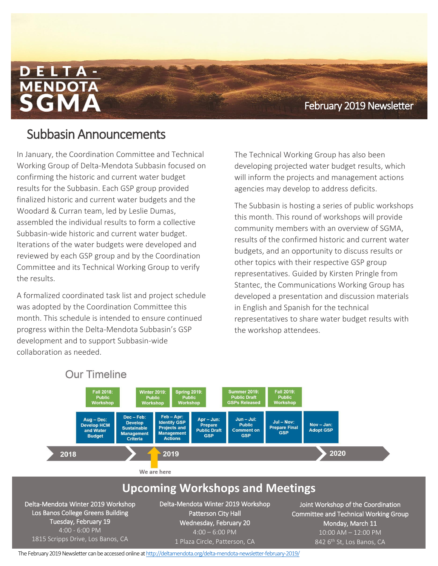**Fall 2018** February 2019 Newsletter

## Subbasin Announcements

In January, the Coordination Committee and Technical Working Group of Delta-Mendota Subbasin focused on confirming the historic and current water budget results for the Subbasin. Each GSP group provided finalized historic and current water budgets and the Woodard & Curran team, led by Leslie Dumas, assembled the individual results to form a collective Subbasin-wide historic and current water budget. Iterations of the water budgets were developed and reviewed by each GSP group and by the Coordination Committee and its Technical Working Group to verify the results.

A formalized coordinated task list and project schedule was adopted by the Coordination Committee this month. This schedule is intended to ensure continued progress within the Delta-Mendota Subbasin's GSP development and to support Subbasin-wide collaboration as needed.

The Technical Working Group has also been developing projected water budget results, which will inform the projects and management actions agencies may develop to address deficits.

The Subbasin is hosting a series of public workshops this month. This round of workshops will provide community members with an overview of SGMA, results of the confirmed historic and current water budgets, and an opportunity to discuss results or other topics with their respective GSP group representatives. Guided by Kirsten Pringle from Stantec, the Communications Working Group has developed a presentation and discussion materials in English and Spanish for the technical representatives to share water budget results with the workshop attendees.



**Our Timeline** 

The February 2019 Newsletter can be accessed online at http://deltamendota.org/delta-mendota-newsletter-february-2019/